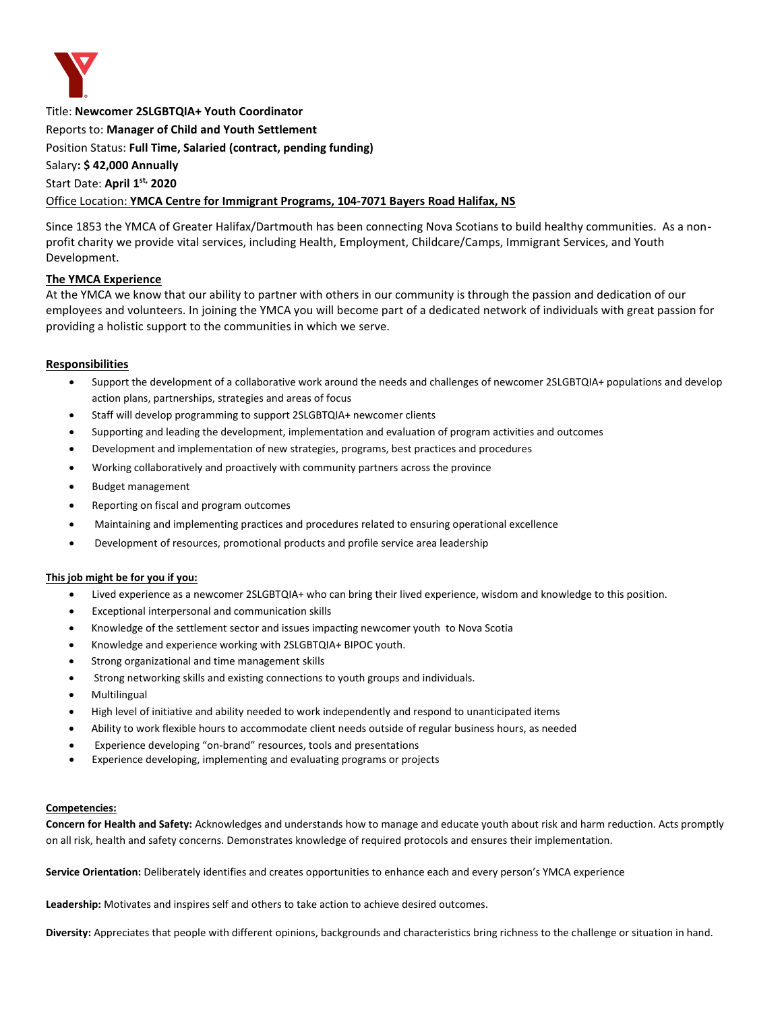

Title: **Newcomer 2SLGBTQIA+ Youth Coordinator** 

Reports to: **Manager of Child and Youth Settlement**

Position Status: **Full Time, Salaried (contract, pending funding)**

Salary**: \$ 42,000 Annually** 

## Start Date: **April 1 st, 2020**

#### Office Location: **YMCA Centre for Immigrant Programs, 104-7071 Bayers Road Halifax, NS**

Since 1853 the YMCA of Greater Halifax/Dartmouth has been connecting Nova Scotians to build healthy communities. As a nonprofit charity we provide vital services, including Health, Employment, Childcare/Camps, Immigrant Services, and Youth Development.

## **The YMCA Experience**

At the YMCA we know that our ability to partner with others in our community is through the passion and dedication of our employees and volunteers. In joining the YMCA you will become part of a dedicated network of individuals with great passion for providing a holistic support to the communities in which we serve.

## **Responsibilities**

- Support the development of a collaborative work around the needs and challenges of newcomer 2SLGBTQIA+ populations and develop action plans, partnerships, strategies and areas of focus
- Staff will develop programming to support 2SLGBTQIA+ newcomer clients
- Supporting and leading the development, implementation and evaluation of program activities and outcomes
- Development and implementation of new strategies, programs, best practices and procedures
- Working collaboratively and proactively with community partners across the province
- Budget management
- Reporting on fiscal and program outcomes
- Maintaining and implementing practices and procedures related to ensuring operational excellence
- Development of resources, promotional products and profile service area leadership

#### **This job might be for you if you:**

- Lived experience as a newcomer 2SLGBTQIA+ who can bring their lived experience, wisdom and knowledge to this position.
- Exceptional interpersonal and communication skills
- Knowledge of the settlement sector and issues impacting newcomer youth to Nova Scotia
- Knowledge and experience working with 2SLGBTQIA+ BIPOC youth.
- Strong organizational and time management skills
- Strong networking skills and existing connections to youth groups and individuals.
- Multilingual
- High level of initiative and ability needed to work independently and respond to unanticipated items
- Ability to work flexible hours to accommodate client needs outside of regular business hours, as needed
- Experience developing "on-brand" resources, tools and presentations
- Experience developing, implementing and evaluating programs or projects

#### **Competencies:**

**Concern for Health and Safety:** Acknowledges and understands how to manage and educate youth about risk and harm reduction. Acts promptly on all risk, health and safety concerns. Demonstrates knowledge of required protocols and ensures their implementation.

**Service Orientation:** Deliberately identifies and creates opportunities to enhance each and every person's YMCA experience

**Leadership:** Motivates and inspires self and others to take action to achieve desired outcomes.

**Diversity:** Appreciates that people with different opinions, backgrounds and characteristics bring richness to the challenge or situation in hand.